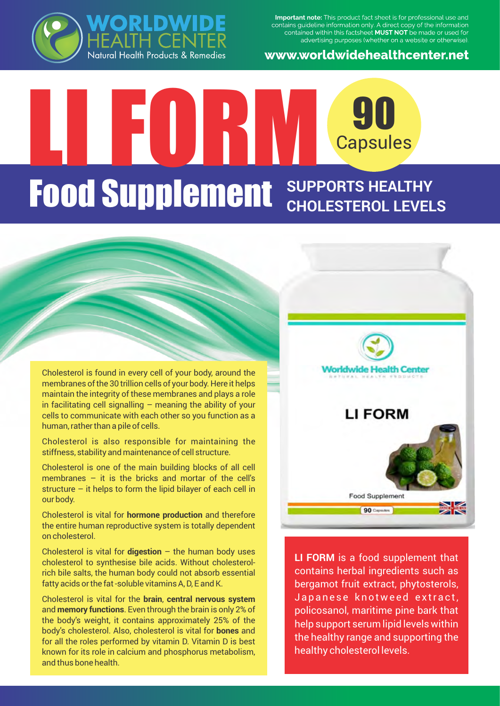

**Important note:** This product fact sheet is for professional use and contains guideline information only. A direct copy of the information contained within this factsheet **MUST NOT** be made or used for advertising purposes (whether on a website or otherwise).

www.worldwidehealthcenter.net

# LI FORM 90 **Capsules Food Supplement** SUPPORTS HEALTHY **CHOLESTEROL LEVELS**

Cholesterol is found in every cell of your body, around the membranes of the 30 trillion cells of your body. Here it helps maintain the integrity of these membranes and plays a role in facilitating cell signalling  $-$  meaning the ability of your cells to communicate with each other so you function as a human, rather than a pile of cells.

Cholesterol is also responsible for maintaining the stiffness, stability and maintenance of cell structure.

Cholesterol is one of the main building blocks of all cell membranes  $-$  it is the bricks and mortar of the cell's structure – it helps to form the lipid bilayer of each cell in our body.

Cholesterol is vital for **hormone production** and therefore the entire human reproductive system is totally dependent on cholesterol.

Cholesterol is vital for **digestion** – the human body uses cholesterol to synthesise bile acids. Without cholesterolrich bile salts, the human body could not absorb essential fatty acids or the fat -soluble vitamins A, D, E and K.

Cholesterol is vital for the **brain**, **central nervous system** and **memory functions**. Even through the brain is only 2% of the body's weight, it contains approximately 25% of the body's cholesterol. Also, cholesterol is vital for **bones** and for all the roles performed by vitamin D. Vitamin D is best known for its role in calcium and phosphorus metabolism, and thus bone health.



**LI FORM** is a food supplement that contains herbal ingredients such as bergamot fruit extract, phytosterols, Japanese knotweed extract, policosanol, maritime pine bark that help support serum lipid levels within the healthy range and supporting the healthy cholesterol levels.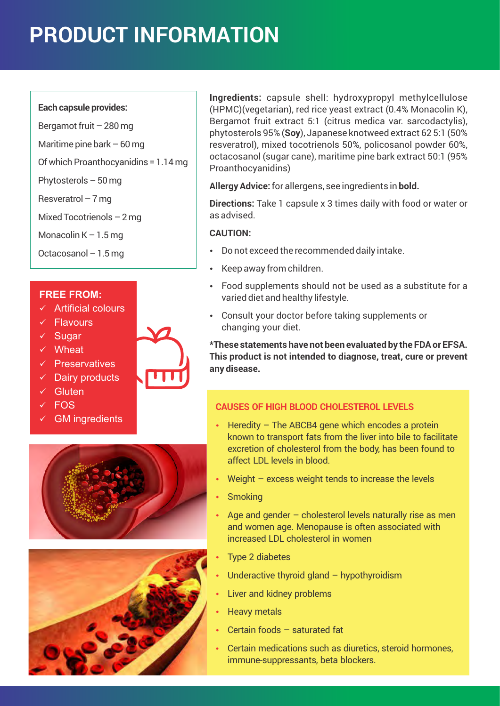# **PRODUCT INFORMATION**

#### **Each capsule provides:**

- Bergamot fruit 280 mg
- Maritime pine bark  $-60$  mg
- Of which Proanthocyanidins = 1.14 mg
- Phytosterols 50 mg
- Resveratrol 7 mg
- Mixed Tocotrienols 2 mg
- Monacolin  $K 1.5$  mg
- Octacosanol 1.5 mg

### **FREE FROM:**

- $\times$  Artificial colours
- $\checkmark$  Flavours
- $\checkmark$  Sugar
- $\checkmark$  Wheat
- $\checkmark$  Preservatives
- $\checkmark$  Dairy products
- $\checkmark$  Gluten
- $\times$  FOS
- $\checkmark$  GM ingredients





**Ingredients:** capsule shell: hydroxypropyl methylcellulose (HPMC)(vegetarian), red rice yeast extract (0.4% Monacolin K), Bergamot fruit extract 5:1 (citrus medica var. sarcodactylis), phytosterols 95% (**Soy**), Japanese knotweed extract 62 5:1 (50% resveratrol), mixed tocotrienols 50%, policosanol powder 60%, octacosanol (sugar cane), maritime pine bark extract 50:1 (95% Proanthocyanidins)

**Allergy Advice:** for allergens, see ingredients in **bold.**

**Directions:** Take 1 capsule x 3 times daily with food or water or as advised.

#### **CAUTION:**

- Do not exceed the recommended daily intake.
- Keep away from children.
- Food supplements should not be used as a substitute for a varied diet and healthy lifestyle.
- Consult your doctor before taking supplements or changing your diet.

**\*These statements have not been evaluated by the FDA or EFSA. This product is not intended to diagnose, treat, cure or prevent any disease.**

### **CAUSES OF HIGH BLOOD CHOLESTEROL LEVELS**

- $\cdot$  Heredity The ABCB4 gene which encodes a protein known to transport fats from the liver into bile to facilitate excretion of cholesterol from the body, has been found to affect LDL levels in blood.
	- Weight excess weight tends to increase the levels
- Smoking
- Age and gender  $-$  cholesterol levels naturally rise as men and women age. Menopause is often associated with increased LDL cholesterol in women
- Type 2 diabetes
- Underactive thyroid gland hypothyroidism
- Liver and kidney problems
- **Heavy metals**
- Certain foods saturated fat
- Certain medications such as diuretics, steroid hormones, immune-suppressants, beta blockers.